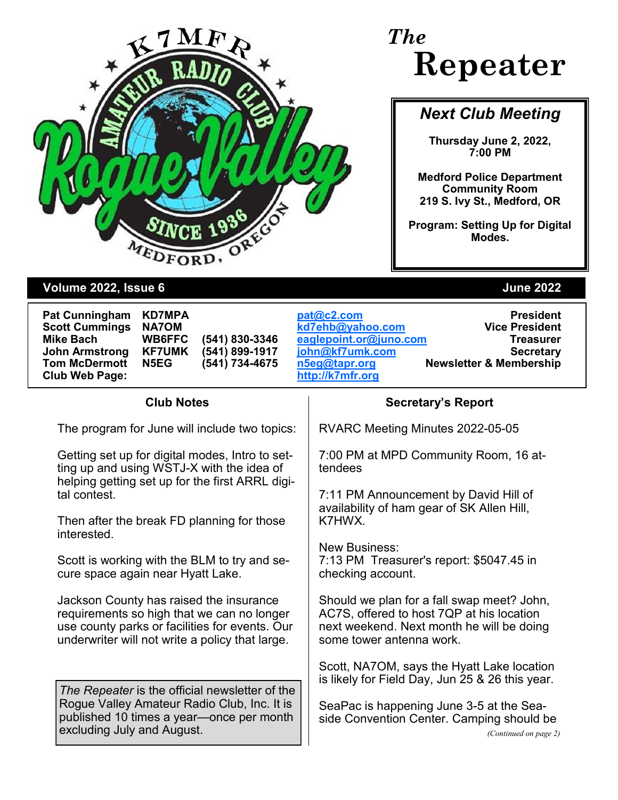

# *The* **Repeater**

## *Next Club Meeting*

**Thursday June 2, 2022, 7:00 PM**

**Medford Police Department Community Room 219 S. Ivy St., Medford, OR** 

**Program: Setting Up for Digital Modes.**

### **Volume 2022, Issue 6 June 2022**

| <b>Pat Cunningham</b> | ŀ |
|-----------------------|---|
| <b>Scott Cummings</b> | ľ |
| <b>Mike Bach</b>      | Ι |
| <b>John Armstrong</b> | ŀ |
| <b>Tom McDermott</b>  | ľ |
| <b>Club Web Page:</b> |   |

**Club Web Page: [http://k7mfr.org](http://www.qsl.net/w7dta)**

**Pat Cunningham KD7MPA [pat@c2.com](mailto:pat@c2.com) President Scott Cummings NA7OM [kd7ehb@yahoo.com](mailto:kd7ehb@yahoo.com) Vice President Mike Bach WB6FFC (541) 830-3346 [eaglepoint.or@juno.com](mailto:Eaglepoint.or@juno.com) Treasurer John Armstrong KF7UMK (541) 899-1917 [john@kf7umk.com](mailto:john@kf7umk.com) Secretary Tom McDermott N5EG (541) 734-4675 [n5eg@tapr.org](mailto:n5eg@tapr.org) Newsletter & Membership**

The program for June will include two topics:

Getting set up for digital modes, Intro to setting up and using WSTJ-X with the idea of helping getting set up for the first ARRL digital contest.

Then after the break FD planning for those interested.

Scott is working with the BLM to try and secure space again near Hyatt Lake.

Jackson County has raised the insurance requirements so high that we can no longer use county parks or facilities for events. Our underwriter will not write a policy that large.

*The Repeater* is the official newsletter of the Rogue Valley Amateur Radio Club, Inc. It is published 10 times a year—once per month excluding July and August.

### **Club Notes Secretary's Report**

RVARC Meeting Minutes 2022-05-05

7:00 PM at MPD Community Room, 16 attendees

7:11 PM Announcement by David Hill of availability of ham gear of SK Allen Hill, K7HWX.

New Business: 7:13 PM Treasurer's report: \$5047.45 in checking account.

Should we plan for a fall swap meet? John, AC7S, offered to host 7QP at his location next weekend. Next month he will be doing some tower antenna work.

Scott, NA7OM, says the Hyatt Lake location is likely for Field Day, Jun 25 & 26 this year.

SeaPac is happening June 3-5 at the Seaside Convention Center. Camping should be *(Continued on page 2)*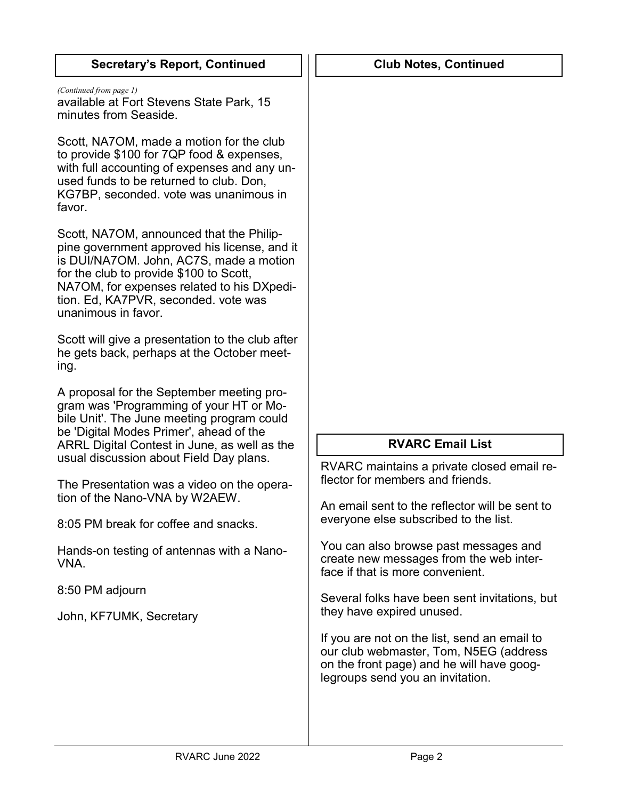| <b>Secretary's Report, Continued</b>                                                                                                                                                                                                                                                        | <b>Club Notes, Continued</b>                                                                                                                                            |
|---------------------------------------------------------------------------------------------------------------------------------------------------------------------------------------------------------------------------------------------------------------------------------------------|-------------------------------------------------------------------------------------------------------------------------------------------------------------------------|
| (Continued from page 1)<br>available at Fort Stevens State Park, 15<br>minutes from Seaside.                                                                                                                                                                                                |                                                                                                                                                                         |
| Scott, NA7OM, made a motion for the club<br>to provide \$100 for 7QP food & expenses,<br>with full accounting of expenses and any un-<br>used funds to be returned to club. Don,<br>KG7BP, seconded. vote was unanimous in<br>favor.                                                        |                                                                                                                                                                         |
| Scott, NA7OM, announced that the Philip-<br>pine government approved his license, and it<br>is DUI/NA7OM. John, AC7S, made a motion<br>for the club to provide \$100 to Scott,<br>NA7OM, for expenses related to his DXpedi-<br>tion. Ed, KA7PVR, seconded. vote was<br>unanimous in favor. |                                                                                                                                                                         |
| Scott will give a presentation to the club after<br>he gets back, perhaps at the October meet-<br>ing.                                                                                                                                                                                      |                                                                                                                                                                         |
| A proposal for the September meeting pro-<br>gram was 'Programming of your HT or Mo-<br>bile Unit'. The June meeting program could<br>be 'Digital Modes Primer', ahead of the<br>ARRL Digital Contest in June, as well as the                                                               | <b>RVARC Email List</b>                                                                                                                                                 |
| usual discussion about Field Day plans.                                                                                                                                                                                                                                                     | RVARC maintains a private closed email re-                                                                                                                              |
| The Presentation was a video on the opera-<br>tion of the Nano-VNA by W2AEW.                                                                                                                                                                                                                | flector for members and friends.                                                                                                                                        |
| 8:05 PM break for coffee and snacks.                                                                                                                                                                                                                                                        | An email sent to the reflector will be sent to<br>everyone else subscribed to the list.                                                                                 |
| Hands-on testing of antennas with a Nano-<br>VNA.                                                                                                                                                                                                                                           | You can also browse past messages and<br>create new messages from the web inter-<br>face if that is more convenient.                                                    |
| 8:50 PM adjourn                                                                                                                                                                                                                                                                             | Several folks have been sent invitations, but                                                                                                                           |
| John, KF7UMK, Secretary                                                                                                                                                                                                                                                                     | they have expired unused.                                                                                                                                               |
|                                                                                                                                                                                                                                                                                             | If you are not on the list, send an email to<br>our club webmaster, Tom, N5EG (address<br>on the front page) and he will have goog-<br>legroups send you an invitation. |
|                                                                                                                                                                                                                                                                                             |                                                                                                                                                                         |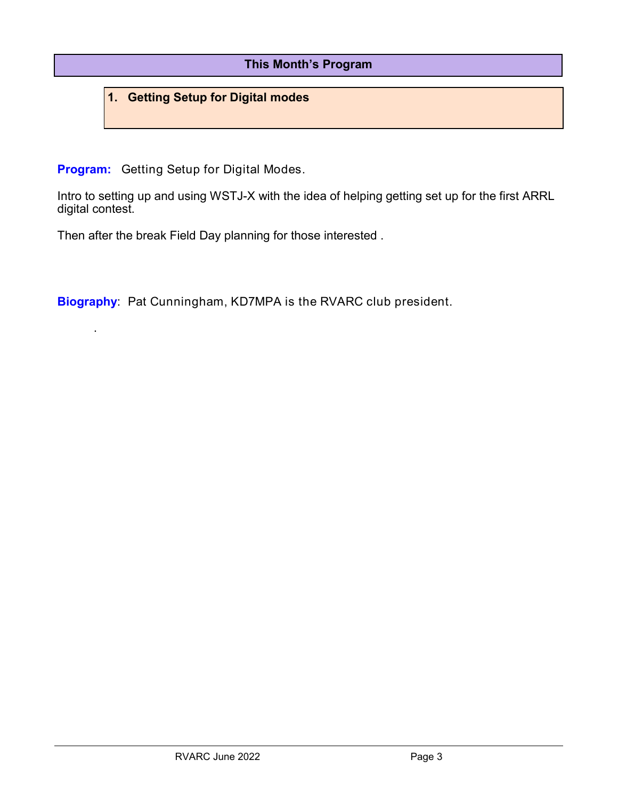### **This Month's Program**

### **1. Getting Setup for Digital modes**

**Program:** Getting Setup for Digital Modes.

.

Intro to setting up and using WSTJ-X with the idea of helping getting set up for the first ARRL digital contest.

Then after the break Field Day planning for those interested .

**Biography**: Pat Cunningham, KD7MPA is the RVARC club president.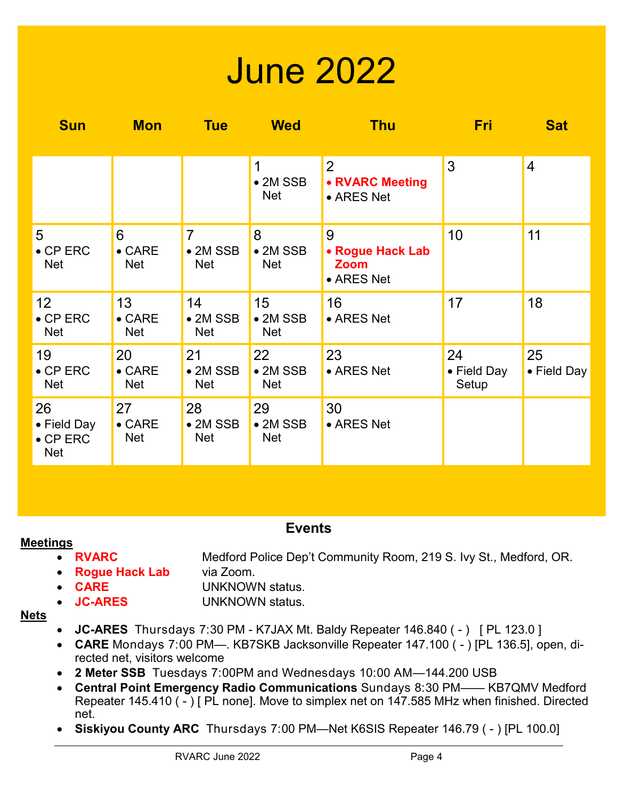# June 2022

| <b>Sun</b>                                   | <b>Mon</b>                         | <b>Tue</b>                                       | <b>Wed</b>                           | <b>Thu</b>                                         | <b>Fri</b>                 | <b>Sat</b>        |
|----------------------------------------------|------------------------------------|--------------------------------------------------|--------------------------------------|----------------------------------------------------|----------------------------|-------------------|
|                                              |                                    |                                                  | 1<br>$\bullet$ 2M SSB<br><b>Net</b>  | $ 2\rangle$<br>• RVARC Meeting<br>• ARES Net       | 3                          | $\overline{4}$    |
| 5<br>$\bullet$ CP ERC<br><b>Net</b>          | 6<br>$\bullet$ CARE<br><b>Net</b>  | $\overline{7}$<br>$\bullet$ 2M SSB<br><b>Net</b> | 8<br>$\bullet$ 2M SSB<br><b>Net</b>  | 9<br>• Rogue Hack Lab<br><b>Zoom</b><br>• ARES Net | 10                         | 11                |
| 12<br>$\bullet$ CP ERC<br><b>Net</b>         | 13<br>$\bullet$ CARE<br><b>Net</b> | 14<br>$\bullet$ 2M SSB<br><b>Net</b>             | 15<br>$\bullet$ 2M SSB<br><b>Net</b> | 16<br>• ARES Net                                   | 17                         | 18                |
| 19<br>$\bullet$ CP ERC<br><b>Net</b>         | 20<br>$\bullet$ CARE<br><b>Net</b> | 21<br>$\bullet$ 2M SSB<br><b>Net</b>             | 22<br>$\bullet$ 2M SSB<br><b>Net</b> | 23<br>• ARES Net                                   | 24<br>• Field Day<br>Setup | 25<br>• Field Day |
| 26<br>• Field Day<br>$\bullet$ CP ERC<br>Net | 27<br>$\bullet$ CARE<br><b>Net</b> | 28<br>$\bullet$ 2M SSB<br><b>Net</b>             | 29<br>$\bullet$ 2M SSB<br><b>Net</b> | 30<br>• ARES Net                                   |                            |                   |

### **Events**

### **Meetings**

- **RVARC** Medford Police Dep't Community Room, 219 S. Ivy St., Medford, OR.
- **Rogue Hack Lab** via Zoom.
- **CARE** UNKNOWN status.
- **JC-ARES** UNKNOWN status.

### **Nets**

- **JC-ARES** Thursdays 7:30 PM K7JAX Mt. Baldy Repeater 146.840 ( ) [ PL 123.0 ]
- **CARE** Mondays 7:00 PM—. KB7SKB Jacksonville Repeater 147.100 ( ) [PL 136.5], open, directed net, visitors welcome
- **2 Meter SSB** Tuesdays 7:00PM and Wednesdays 10:00 AM—144.200 USB
- **Central Point Emergency Radio Communications** Sundays 8:30 PM—— KB7QMV Medford Repeater 145.410 ( - ) [ PL none]. Move to simplex net on 147.585 MHz when finished. Directed net.
- **Siskiyou County ARC** Thursdays 7:00 PM—Net K6SIS Repeater 146.79 ( ) [PL 100.0]